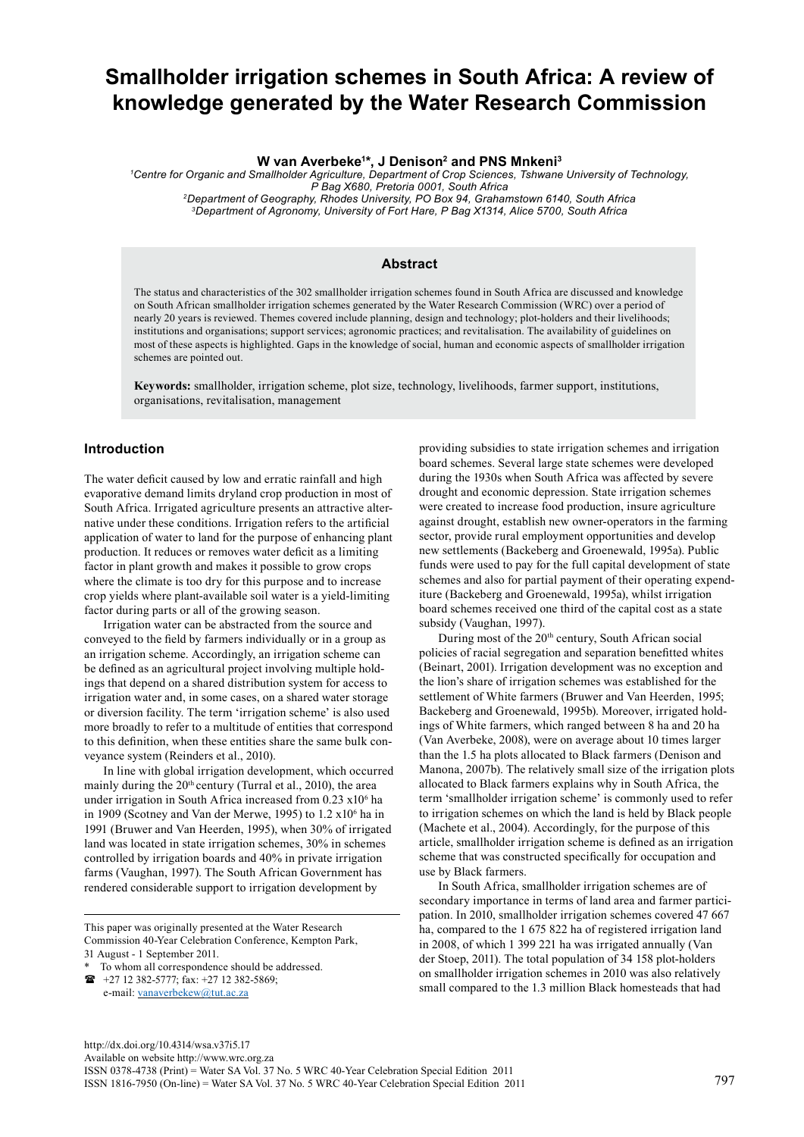# **Smallholder irrigation schemes in South Africa: A review of knowledge generated by the Water Research Commission**

**W van Averbeke1 \*, J Denison2 and PNS Mnkeni3**

*1 Centre for Organic and Smallholder Agriculture, Department of Crop Sciences, Tshwane University of Technology, P Bag X680, Pretoria 0001, South Africa 2Department of Geography, Rhodes University, PO Box 94, Grahamstown 6140, South Africa*

*3Department of Agronomy, University of Fort Hare, P Bag X1314, Alice 5700, South Africa* 

#### **Abstract**

The status and characteristics of the 302 smallholder irrigation schemes found in South Africa are discussed and knowledge on South African smallholder irrigation schemes generated by the Water Research Commission (WRC) over a period of nearly 20 years is reviewed. Themes covered include planning, design and technology; plot-holders and their livelihoods; institutions and organisations; support services; agronomic practices; and revitalisation. The availability of guidelines on most of these aspects is highlighted. Gaps in the knowledge of social, human and economic aspects of smallholder irrigation schemes are pointed out.

**Keywords:** smallholder, irrigation scheme, plot size, technology, livelihoods, farmer support, institutions, organisations, revitalisation, management

## **Introduction**

The water deficit caused by low and erratic rainfall and high evaporative demand limits dryland crop production in most of South Africa. Irrigated agriculture presents an attractive alternative under these conditions. Irrigation refers to the artificial application of water to land for the purpose of enhancing plant production. It reduces or removes water deficit as a limiting factor in plant growth and makes it possible to grow crops where the climate is too dry for this purpose and to increase crop yields where plant-available soil water is a yield-limiting factor during parts or all of the growing season.

Irrigation water can be abstracted from the source and conveyed to the field by farmers individually or in a group as an irrigation scheme. Accordingly, an irrigation scheme can be defined as an agricultural project involving multiple holdings that depend on a shared distribution system for access to irrigation water and, in some cases, on a shared water storage or diversion facility. The term 'irrigation scheme' is also used more broadly to refer to a multitude of entities that correspond to this definition, when these entities share the same bulk conveyance system (Reinders et al., 2010).

In line with global irrigation development, which occurred mainly during the  $20<sup>th</sup>$  century (Turral et al., 2010), the area under irrigation in South Africa increased from 0.23 x106 ha in 1909 (Scotney and Van der Merwe, 1995) to 1.2 x10<sup>6</sup> ha in 1991 (Bruwer and Van Heerden, 1995), when 30% of irrigated land was located in state irrigation schemes, 30% in schemes controlled by irrigation boards and 40% in private irrigation farms (Vaughan, 1997). The South African Government has rendered considerable support to irrigation development by

This paper was originally presented at the Water Research Commission 40-Year Celebration Conference, Kempton Park, 31 August - 1 September 2011.

- To whom all correspondence should be addressed. +27 12 382-5777; fax: +27 12 382-5869;
	- e-mail: [vanaverbekew@tut.ac.za](mailto:vanaverbekew@tut.ac.za)

providing subsidies to state irrigation schemes and irrigation board schemes. Several large state schemes were developed during the 1930s when South Africa was affected by severe drought and economic depression. State irrigation schemes were created to increase food production, insure agriculture against drought, establish new owner-operators in the farming sector, provide rural employment opportunities and develop new settlements (Backeberg and Groenewald, 1995a). Public funds were used to pay for the full capital development of state schemes and also for partial payment of their operating expenditure (Backeberg and Groenewald, 1995a), whilst irrigation board schemes received one third of the capital cost as a state subsidy (Vaughan, 1997).

During most of the 20<sup>th</sup> century, South African social policies of racial segregation and separation benefitted whites (Beinart, 2001). Irrigation development was no exception and the lion's share of irrigation schemes was established for the settlement of White farmers (Bruwer and Van Heerden, 1995; Backeberg and Groenewald, 1995b). Moreover, irrigated holdings of White farmers, which ranged between 8 ha and 20 ha (Van Averbeke, 2008), were on average about 10 times larger than the 1.5 ha plots allocated to Black farmers (Denison and Manona, 2007b). The relatively small size of the irrigation plots allocated to Black farmers explains why in South Africa, the term 'smallholder irrigation scheme' is commonly used to refer to irrigation schemes on which the land is held by Black people (Machete et al., 2004). Accordingly, for the purpose of this article, smallholder irrigation scheme is defined as an irrigation scheme that was constructed specifically for occupation and use by Black farmers.

In South Africa, smallholder irrigation schemes are of secondary importance in terms of land area and farmer participation. In 2010, smallholder irrigation schemes covered 47 667 ha, compared to the 1 675 822 ha of registered irrigation land in 2008, of which 1 399 221 ha was irrigated annually (Van der Stoep, 2011). The total population of 34 158 plot-holders on smallholder irrigation schemes in 2010 was also relatively small compared to the 1.3 million Black homesteads that had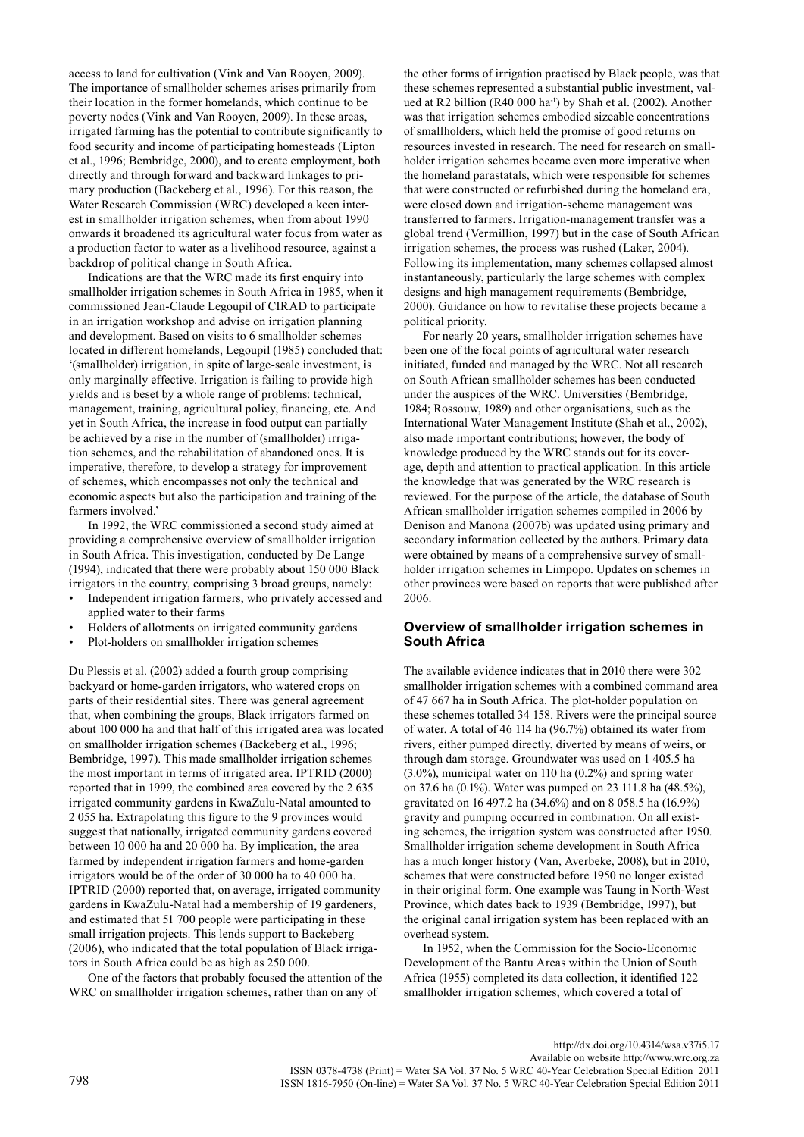access to land for cultivation (Vink and Van Rooyen, 2009). The importance of smallholder schemes arises primarily from their location in the former homelands, which continue to be poverty nodes (Vink and Van Rooyen, 2009). In these areas, irrigated farming has the potential to contribute significantly to food security and income of participating homesteads (Lipton et al., 1996; Bembridge, 2000), and to create employment, both directly and through forward and backward linkages to primary production (Backeberg et al., 1996). For this reason, the Water Research Commission (WRC) developed a keen interest in smallholder irrigation schemes, when from about 1990 onwards it broadened its agricultural water focus from water as a production factor to water as a livelihood resource, against a backdrop of political change in South Africa.

Indications are that the WRC made its first enquiry into smallholder irrigation schemes in South Africa in 1985, when it commissioned Jean-Claude Legoupil of CIRAD to participate in an irrigation workshop and advise on irrigation planning and development. Based on visits to 6 smallholder schemes located in different homelands, Legoupil (1985) concluded that: '(smallholder) irrigation, in spite of large-scale investment, is only marginally effective. Irrigation is failing to provide high yields and is beset by a whole range of problems: technical, management, training, agricultural policy, financing, etc. And yet in South Africa, the increase in food output can partially be achieved by a rise in the number of (smallholder) irrigation schemes, and the rehabilitation of abandoned ones. It is imperative, therefore, to develop a strategy for improvement of schemes, which encompasses not only the technical and economic aspects but also the participation and training of the farmers involved.'

In 1992, the WRC commissioned a second study aimed at providing a comprehensive overview of smallholder irrigation in South Africa. This investigation, conducted by De Lange (1994), indicated that there were probably about 150 000 Black irrigators in the country, comprising 3 broad groups, namely:

- Independent irrigation farmers, who privately accessed and applied water to their farms
- Holders of allotments on irrigated community gardens
- Plot-holders on smallholder irrigation schemes

Du Plessis et al. (2002) added a fourth group comprising backyard or home-garden irrigators, who watered crops on parts of their residential sites. There was general agreement that, when combining the groups, Black irrigators farmed on about 100 000 ha and that half of this irrigated area was located on smallholder irrigation schemes (Backeberg et al., 1996; Bembridge, 1997). This made smallholder irrigation schemes the most important in terms of irrigated area. IPTRID (2000) reported that in 1999, the combined area covered by the 2 635 irrigated community gardens in KwaZulu-Natal amounted to 2 055 ha. Extrapolating this figure to the 9 provinces would suggest that nationally, irrigated community gardens covered between 10 000 ha and 20 000 ha. By implication, the area farmed by independent irrigation farmers and home-garden irrigators would be of the order of 30 000 ha to 40 000 ha. IPTRID (2000) reported that, on average, irrigated community gardens in KwaZulu-Natal had a membership of 19 gardeners, and estimated that 51 700 people were participating in these small irrigation projects. This lends support to Backeberg (2006), who indicated that the total population of Black irrigators in South Africa could be as high as 250 000.

One of the factors that probably focused the attention of the WRC on smallholder irrigation schemes, rather than on any of

the other forms of irrigation practised by Black people, was that these schemes represented a substantial public investment, valued at R2 billion (R40 000 ha<sup>-1</sup>) by Shah et al. (2002). Another was that irrigation schemes embodied sizeable concentrations of smallholders, which held the promise of good returns on resources invested in research. The need for research on smallholder irrigation schemes became even more imperative when the homeland parastatals, which were responsible for schemes that were constructed or refurbished during the homeland era, were closed down and irrigation-scheme management was transferred to farmers. Irrigation-management transfer was a global trend (Vermillion, 1997) but in the case of South African irrigation schemes, the process was rushed (Laker, 2004). Following its implementation, many schemes collapsed almost instantaneously, particularly the large schemes with complex designs and high management requirements (Bembridge, 2000). Guidance on how to revitalise these projects became a political priority.

For nearly 20 years, smallholder irrigation schemes have been one of the focal points of agricultural water research initiated, funded and managed by the WRC. Not all research on South African smallholder schemes has been conducted under the auspices of the WRC. Universities (Bembridge, 1984; Rossouw, 1989) and other organisations, such as the International Water Management Institute (Shah et al., 2002), also made important contributions; however, the body of knowledge produced by the WRC stands out for its coverage, depth and attention to practical application. In this article the knowledge that was generated by the WRC research is reviewed. For the purpose of the article, the database of South African smallholder irrigation schemes compiled in 2006 by Denison and Manona (2007b) was updated using primary and secondary information collected by the authors. Primary data were obtained by means of a comprehensive survey of smallholder irrigation schemes in Limpopo. Updates on schemes in other provinces were based on reports that were published after 2006.

## **Overview of smallholder irrigation schemes in South Africa**

The available evidence indicates that in 2010 there were 302 smallholder irrigation schemes with a combined command area of 47 667 ha in South Africa. The plot-holder population on these schemes totalled 34 158. Rivers were the principal source of water. A total of 46 114 ha (96.7%) obtained its water from rivers, either pumped directly, diverted by means of weirs, or through dam storage. Groundwater was used on 1 405.5 ha (3.0%), municipal water on 110 ha (0.2%) and spring water on 37.6 ha (0.1%). Water was pumped on 23 111.8 ha (48.5%), gravitated on 16 497.2 ha (34.6%) and on 8 058.5 ha (16.9%) gravity and pumping occurred in combination. On all existing schemes, the irrigation system was constructed after 1950. Smallholder irrigation scheme development in South Africa has a much longer history (Van, Averbeke, 2008), but in 2010, schemes that were constructed before 1950 no longer existed in their original form. One example was Taung in North-West Province, which dates back to 1939 (Bembridge, 1997), but the original canal irrigation system has been replaced with an overhead system.

In 1952, when the Commission for the Socio-Economic Development of the Bantu Areas within the Union of South Africa (1955) completed its data collection, it identified 122 smallholder irrigation schemes, which covered a total of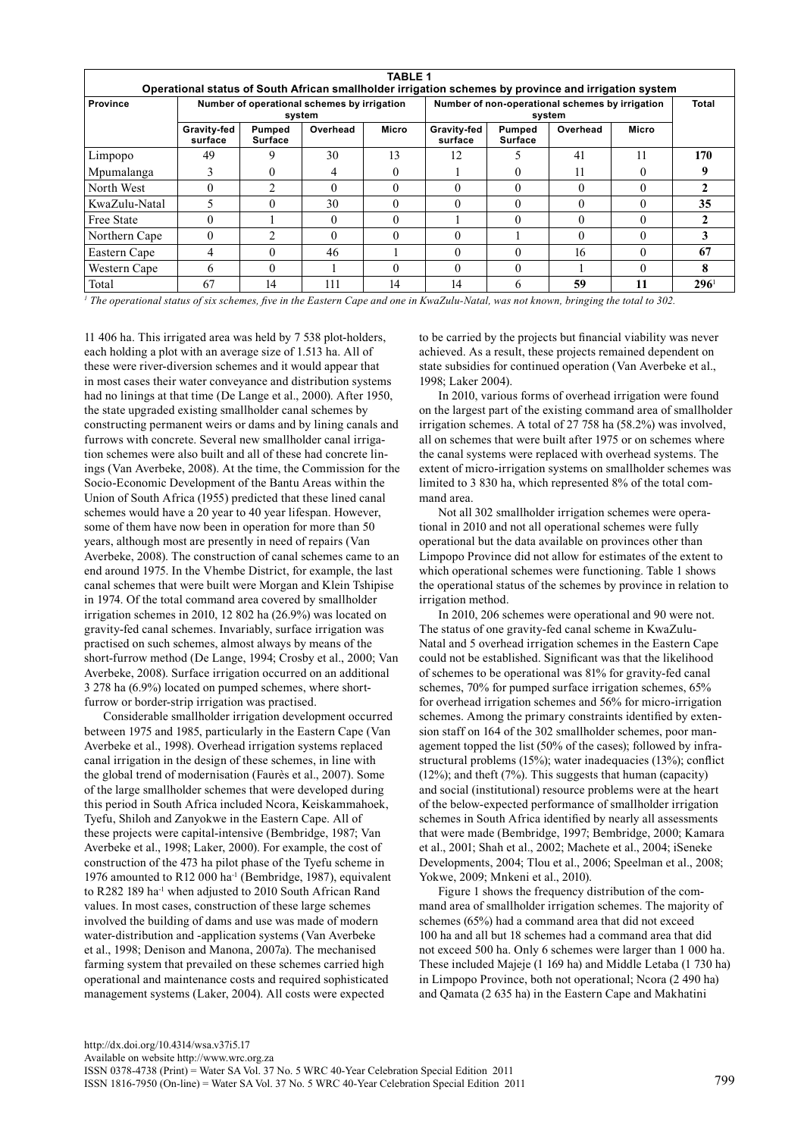| <b>TABLE 1</b><br>Operational status of South African smallholder irrigation schemes by province and irrigation system |                                                       |                          |          |          |                                                           |                          |          |          |         |
|------------------------------------------------------------------------------------------------------------------------|-------------------------------------------------------|--------------------------|----------|----------|-----------------------------------------------------------|--------------------------|----------|----------|---------|
| <b>Province</b>                                                                                                        | Number of operational schemes by irrigation<br>system |                          |          |          | Number of non-operational schemes by irrigation<br>system |                          |          |          | Total   |
|                                                                                                                        | Gravity-fed<br>surface                                | Pumped<br><b>Surface</b> | Overhead | Micro    | Gravity-fed<br>surface                                    | Pumped<br><b>Surface</b> | Overhead | Micro    |         |
| Limpopo                                                                                                                | 49                                                    |                          | 30       | 13       | 12                                                        |                          | 41       | 11       | 170     |
| Mpumalanga                                                                                                             |                                                       |                          | 4        |          |                                                           |                          |          |          |         |
| North West                                                                                                             | 0                                                     |                          | $\Omega$ | 0        |                                                           | $\Omega$                 | 0        | $\Omega$ |         |
| KwaZulu-Natal                                                                                                          |                                                       | $\theta$                 | 30       |          |                                                           |                          |          | $\theta$ | 35      |
| Free State                                                                                                             | 0                                                     |                          | $\Omega$ | 0        |                                                           |                          | 0        | $\Omega$ |         |
| Northern Cape                                                                                                          | 0                                                     |                          | $\Omega$ |          |                                                           |                          | 0        | $\Omega$ |         |
| Eastern Cape                                                                                                           | 4                                                     |                          | 46       |          |                                                           |                          | 16       | $\Omega$ | 67      |
| Western Cape                                                                                                           | 6                                                     | $\Omega$                 |          | $\Omega$ | $\Omega$                                                  | $\Omega$                 |          | $\theta$ |         |
| Total                                                                                                                  | 67                                                    | 14                       | 111      | 14       | 14                                                        | 6                        | 59       |          | $296^1$ |

*1 The operational status of six schemes, five in the Eastern Cape and one in KwaZulu-Natal, was not known, bringing the total to 302.*

11 406 ha. This irrigated area was held by 7 538 plot-holders, each holding a plot with an average size of 1.513 ha. All of these were river-diversion schemes and it would appear that in most cases their water conveyance and distribution systems had no linings at that time (De Lange et al., 2000). After 1950, the state upgraded existing smallholder canal schemes by constructing permanent weirs or dams and by lining canals and furrows with concrete. Several new smallholder canal irrigation schemes were also built and all of these had concrete linings (Van Averbeke, 2008). At the time, the Commission for the Socio-Economic Development of the Bantu Areas within the Union of South Africa (1955) predicted that these lined canal schemes would have a 20 year to 40 year lifespan. However, some of them have now been in operation for more than 50 years, although most are presently in need of repairs (Van Averbeke, 2008). The construction of canal schemes came to an end around 1975. In the Vhembe District, for example, the last canal schemes that were built were Morgan and Klein Tshipise in 1974. Of the total command area covered by smallholder irrigation schemes in 2010, 12 802 ha (26.9%) was located on gravity-fed canal schemes. Invariably, surface irrigation was practised on such schemes, almost always by means of the short-furrow method (De Lange, 1994; Crosby et al., 2000; Van Averbeke, 2008). Surface irrigation occurred on an additional 3 278 ha (6.9%) located on pumped schemes, where shortfurrow or border-strip irrigation was practised.

Considerable smallholder irrigation development occurred between 1975 and 1985, particularly in the Eastern Cape (Van Averbeke et al., 1998). Overhead irrigation systems replaced canal irrigation in the design of these schemes, in line with the global trend of modernisation (Faurès et al., 2007). Some of the large smallholder schemes that were developed during this period in South Africa included Ncora, Keiskammahoek, Tyefu, Shiloh and Zanyokwe in the Eastern Cape. All of these projects were capital-intensive (Bembridge, 1987; Van Averbeke et al., 1998; Laker, 2000). For example, the cost of construction of the 473 ha pilot phase of the Tyefu scheme in 1976 amounted to R12 000 ha $^{-1}$  (Bembridge, 1987), equivalent to R282 189 ha<sup>-1</sup> when adjusted to 2010 South African Rand values. In most cases, construction of these large schemes involved the building of dams and use was made of modern water-distribution and -application systems (Van Averbeke et al., 1998; Denison and Manona, 2007a). The mechanised farming system that prevailed on these schemes carried high operational and maintenance costs and required sophisticated management systems (Laker, 2004). All costs were expected

to be carried by the projects but financial viability was never achieved. As a result, these projects remained dependent on state subsidies for continued operation (Van Averbeke et al., 1998; Laker 2004).

In 2010, various forms of overhead irrigation were found on the largest part of the existing command area of smallholder irrigation schemes. A total of 27 758 ha (58.2%) was involved, all on schemes that were built after 1975 or on schemes where the canal systems were replaced with overhead systems. The extent of micro-irrigation systems on smallholder schemes was limited to 3 830 ha, which represented 8% of the total command area.

Not all 302 smallholder irrigation schemes were operational in 2010 and not all operational schemes were fully operational but the data available on provinces other than Limpopo Province did not allow for estimates of the extent to which operational schemes were functioning. Table 1 shows the operational status of the schemes by province in relation to irrigation method.

In 2010, 206 schemes were operational and 90 were not. The status of one gravity-fed canal scheme in KwaZulu-Natal and 5 overhead irrigation schemes in the Eastern Cape could not be established. Significant was that the likelihood of schemes to be operational was 81% for gravity-fed canal schemes, 70% for pumped surface irrigation schemes, 65% for overhead irrigation schemes and 56% for micro-irrigation schemes. Among the primary constraints identified by extension staff on 164 of the 302 smallholder schemes, poor management topped the list (50% of the cases); followed by infrastructural problems (15%); water inadequacies (13%); conflict (12%); and theft (7%). This suggests that human (capacity) and social (institutional) resource problems were at the heart of the below-expected performance of smallholder irrigation schemes in South Africa identified by nearly all assessments that were made (Bembridge, 1997; Bembridge, 2000; Kamara et al., 2001; Shah et al., 2002; Machete et al., 2004; iSeneke Developments, 2004; Tlou et al., 2006; Speelman et al., 2008; Yokwe, 2009; Mnkeni et al., 2010).

Figure 1 shows the frequency distribution of the command area of smallholder irrigation schemes. The majority of schemes (65%) had a command area that did not exceed 100 ha and all but 18 schemes had a command area that did not exceed 500 ha. Only 6 schemes were larger than 1 000 ha. These included Majeje (1 169 ha) and Middle Letaba (1 730 ha) in Limpopo Province, both not operational; Ncora (2 490 ha) and Qamata (2 635 ha) in the Eastern Cape and Makhatini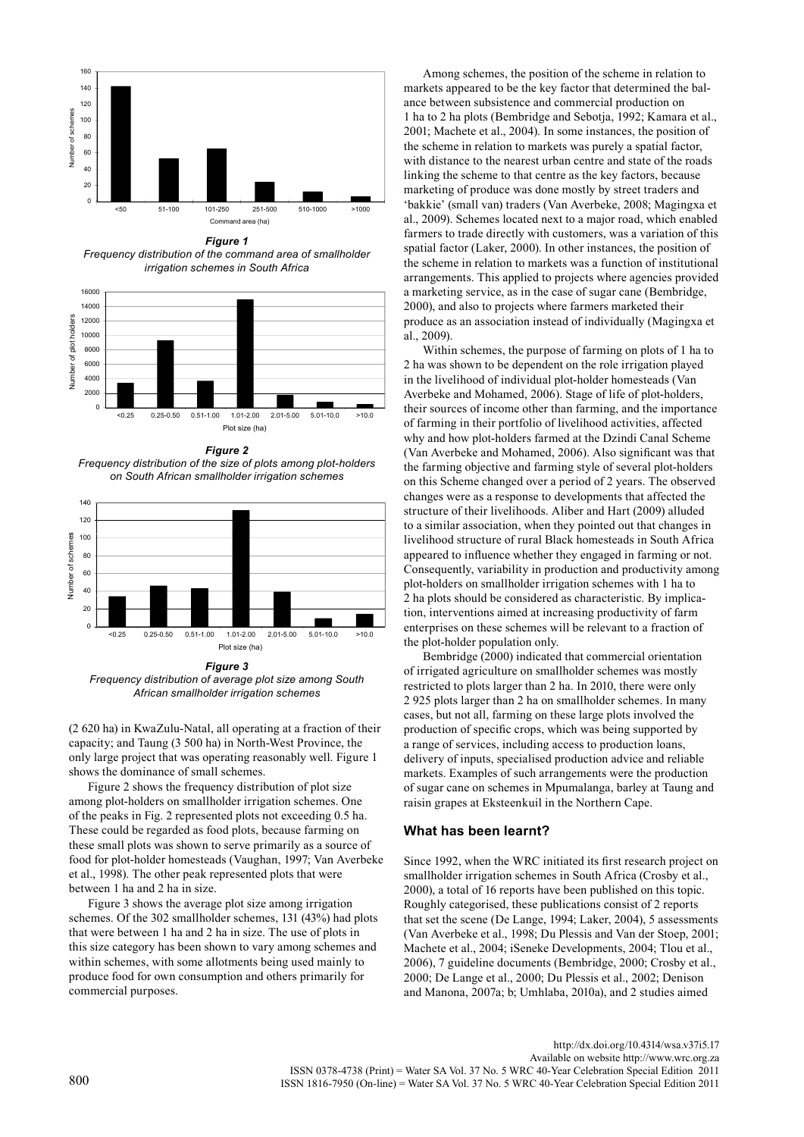

*Figure 1 Frequency distribution of the command area of smallholder irrigation schemes in South Africa*



*Figure 2 Frequency distribution of the size of plots among plot-holders on South African smallholder irrigation schemes*



*Figure 3 Frequency distribution of average plot size among South African smallholder irrigation schemes*

(2 620 ha) in KwaZulu-Natal, all operating at a fraction of their capacity; and Taung (3 500 ha) in North-West Province, the only large project that was operating reasonably well. Figure 1 shows the dominance of small schemes.

Figure 2 shows the frequency distribution of plot size among plot-holders on smallholder irrigation schemes. One of the peaks in Fig. 2 represented plots not exceeding 0.5 ha. These could be regarded as food plots, because farming on these small plots was shown to serve primarily as a source of food for plot-holder homesteads (Vaughan, 1997; Van Averbeke et al., 1998). The other peak represented plots that were between 1 ha and 2 ha in size.

Figure 3 shows the average plot size among irrigation schemes. Of the 302 smallholder schemes, 131 (43%) had plots that were between 1 ha and 2 ha in size. The use of plots in this size category has been shown to vary among schemes and within schemes, with some allotments being used mainly to produce food for own consumption and others primarily for commercial purposes.

Among schemes, the position of the scheme in relation to markets appeared to be the key factor that determined the balance between subsistence and commercial production on 1 ha to 2 ha plots (Bembridge and Sebotja, 1992; Kamara et al., 2001; Machete et al., 2004). In some instances, the position of the scheme in relation to markets was purely a spatial factor, with distance to the nearest urban centre and state of the roads linking the scheme to that centre as the key factors, because marketing of produce was done mostly by street traders and 'bakkie' (small van) traders (Van Averbeke, 2008; Magingxa et al., 2009). Schemes located next to a major road, which enabled farmers to trade directly with customers, was a variation of this spatial factor (Laker, 2000). In other instances, the position of the scheme in relation to markets was a function of institutional arrangements. This applied to projects where agencies provided a marketing service, as in the case of sugar cane (Bembridge, 2000), and also to projects where farmers marketed their produce as an association instead of individually (Magingxa et al., 2009).

Within schemes, the purpose of farming on plots of 1 ha to 2 ha was shown to be dependent on the role irrigation played in the livelihood of individual plot-holder homesteads (Van Averbeke and Mohamed, 2006). Stage of life of plot-holders, their sources of income other than farming, and the importance of farming in their portfolio of livelihood activities, affected why and how plot-holders farmed at the Dzindi Canal Scheme (Van Averbeke and Mohamed, 2006). Also significant was that the farming objective and farming style of several plot-holders on this Scheme changed over a period of 2 years. The observed changes were as a response to developments that affected the structure of their livelihoods. Aliber and Hart (2009) alluded to a similar association, when they pointed out that changes in livelihood structure of rural Black homesteads in South Africa appeared to influence whether they engaged in farming or not. Consequently, variability in production and productivity among plot-holders on smallholder irrigation schemes with 1 ha to 2 ha plots should be considered as characteristic. By implication, interventions aimed at increasing productivity of farm enterprises on these schemes will be relevant to a fraction of the plot-holder population only.

Bembridge (2000) indicated that commercial orientation of irrigated agriculture on smallholder schemes was mostly restricted to plots larger than 2 ha. In 2010, there were only 2 925 plots larger than 2 ha on smallholder schemes. In many cases, but not all, farming on these large plots involved the production of specific crops, which was being supported by a range of services, including access to production loans, delivery of inputs, specialised production advice and reliable markets. Examples of such arrangements were the production of sugar cane on schemes in Mpumalanga, barley at Taung and raisin grapes at Eksteenkuil in the Northern Cape.

#### **What has been learnt?**

Since 1992, when the WRC initiated its first research project on smallholder irrigation schemes in South Africa (Crosby et al., 2000), a total of 16 reports have been published on this topic. Roughly categorised, these publications consist of 2 reports that set the scene (De Lange, 1994; Laker, 2004), 5 assessments (Van Averbeke et al., 1998; Du Plessis and Van der Stoep, 2001; Machete et al., 2004; iSeneke Developments, 2004; Tlou et al., 2006), 7 guideline documents (Bembridge, 2000; Crosby et al., 2000; De Lange et al., 2000; Du Plessis et al., 2002; Denison and Manona, 2007a; b; Umhlaba, 2010a), and 2 studies aimed

http://dx.doi.org/10.4314/wsa.v37i5.17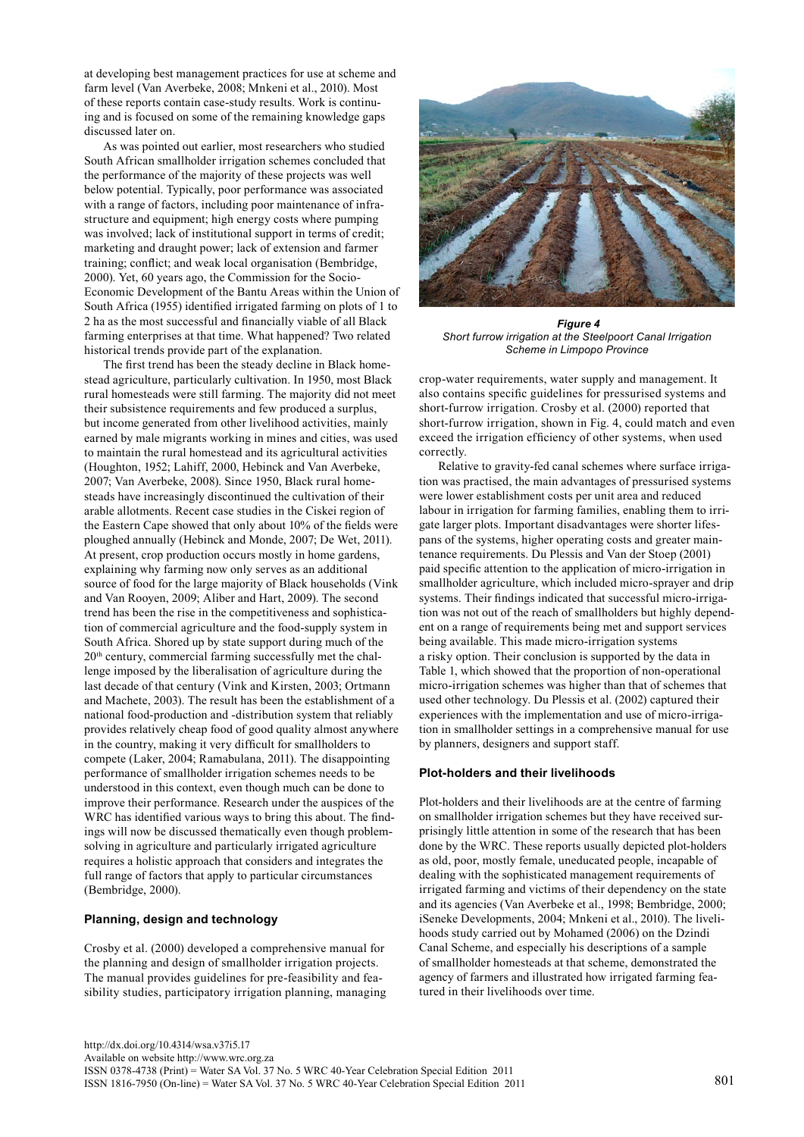at developing best management practices for use at scheme and farm level (Van Averbeke, 2008; Mnkeni et al., 2010). Most of these reports contain case-study results. Work is continuing and is focused on some of the remaining knowledge gaps discussed later on.

As was pointed out earlier, most researchers who studied South African smallholder irrigation schemes concluded that the performance of the majority of these projects was well below potential. Typically, poor performance was associated with a range of factors, including poor maintenance of infrastructure and equipment; high energy costs where pumping was involved; lack of institutional support in terms of credit; marketing and draught power; lack of extension and farmer training; conflict; and weak local organisation (Bembridge, 2000). Yet, 60 years ago, the Commission for the Socio-Economic Development of the Bantu Areas within the Union of South Africa (1955) identified irrigated farming on plots of 1 to 2 ha as the most successful and financially viable of all Black farming enterprises at that time. What happened? Two related historical trends provide part of the explanation.

The first trend has been the steady decline in Black homestead agriculture, particularly cultivation. In 1950, most Black rural homesteads were still farming. The majority did not meet their subsistence requirements and few produced a surplus, but income generated from other livelihood activities, mainly earned by male migrants working in mines and cities, was used to maintain the rural homestead and its agricultural activities (Houghton, 1952; Lahiff, 2000, Hebinck and Van Averbeke, 2007; Van Averbeke, 2008). Since 1950, Black rural homesteads have increasingly discontinued the cultivation of their arable allotments. Recent case studies in the Ciskei region of the Eastern Cape showed that only about 10% of the fields were ploughed annually (Hebinck and Monde, 2007; De Wet, 2011). At present, crop production occurs mostly in home gardens, explaining why farming now only serves as an additional source of food for the large majority of Black households (Vink and Van Rooyen, 2009; Aliber and Hart, 2009). The second trend has been the rise in the competitiveness and sophistication of commercial agriculture and the food-supply system in South Africa. Shored up by state support during much of the 20th century, commercial farming successfully met the challenge imposed by the liberalisation of agriculture during the last decade of that century (Vink and Kirsten, 2003; Ortmann and Machete, 2003). The result has been the establishment of a national food-production and -distribution system that reliably provides relatively cheap food of good quality almost anywhere in the country, making it very difficult for smallholders to compete (Laker, 2004; Ramabulana, 2011). The disappointing performance of smallholder irrigation schemes needs to be understood in this context, even though much can be done to improve their performance. Research under the auspices of the WRC has identified various ways to bring this about. The findings will now be discussed thematically even though problemsolving in agriculture and particularly irrigated agriculture requires a holistic approach that considers and integrates the full range of factors that apply to particular circumstances (Bembridge, 2000).

#### **Planning, design and technology**

Crosby et al. (2000) developed a comprehensive manual for the planning and design of smallholder irrigation projects. The manual provides guidelines for pre-feasibility and feasibility studies, participatory irrigation planning, managing



*Figure 4 Short furrow irrigation at the Steelpoort Canal Irrigation Scheme in Limpopo Province*

crop-water requirements, water supply and management. It also contains specific guidelines for pressurised systems and short-furrow irrigation. Crosby et al. (2000) reported that short-furrow irrigation, shown in Fig. 4, could match and even exceed the irrigation efficiency of other systems, when used correctly.

Relative to gravity-fed canal schemes where surface irrigation was practised, the main advantages of pressurised systems were lower establishment costs per unit area and reduced labour in irrigation for farming families, enabling them to irrigate larger plots. Important disadvantages were shorter lifespans of the systems, higher operating costs and greater maintenance requirements. Du Plessis and Van der Stoep (2001) paid specific attention to the application of micro-irrigation in smallholder agriculture, which included micro-sprayer and drip systems. Their findings indicated that successful micro-irrigation was not out of the reach of smallholders but highly dependent on a range of requirements being met and support services being available. This made micro-irrigation systems a risky option. Their conclusion is supported by the data in Table 1, which showed that the proportion of non-operational micro-irrigation schemes was higher than that of schemes that used other technology. Du Plessis et al. (2002) captured their experiences with the implementation and use of micro-irrigation in smallholder settings in a comprehensive manual for use by planners, designers and support staff.

#### **Plot-holders and their livelihoods**

Plot-holders and their livelihoods are at the centre of farming on smallholder irrigation schemes but they have received surprisingly little attention in some of the research that has been done by the WRC. These reports usually depicted plot-holders as old, poor, mostly female, uneducated people, incapable of dealing with the sophisticated management requirements of irrigated farming and victims of their dependency on the state and its agencies (Van Averbeke et al., 1998; Bembridge, 2000; iSeneke Developments, 2004; Mnkeni et al., 2010). The livelihoods study carried out by Mohamed (2006) on the Dzindi Canal Scheme, and especially his descriptions of a sample of smallholder homesteads at that scheme, demonstrated the agency of farmers and illustrated how irrigated farming featured in their livelihoods over time.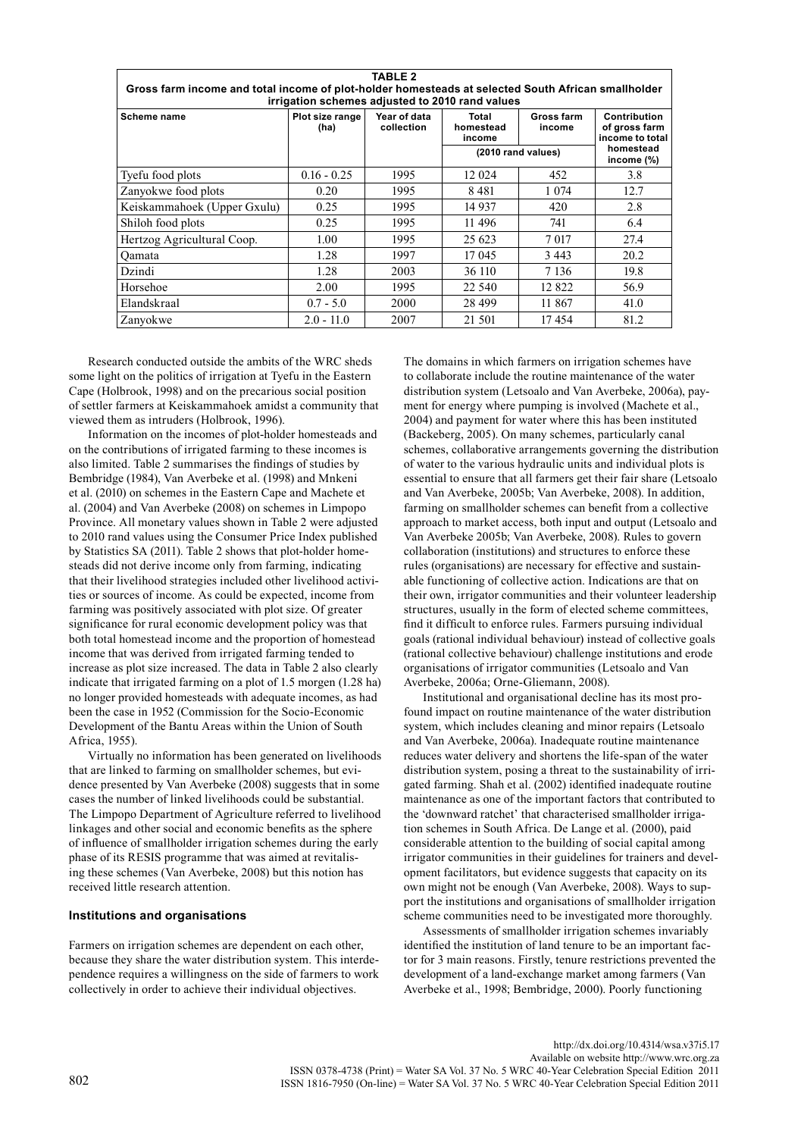| <b>TABLE 2</b><br>Gross farm income and total income of plot-holder homesteads at selected South African smallholder<br>irrigation schemes adjusted to 2010 rand values |                         |                            |                              |                      |                                                  |  |
|-------------------------------------------------------------------------------------------------------------------------------------------------------------------------|-------------------------|----------------------------|------------------------------|----------------------|--------------------------------------------------|--|
| Scheme name                                                                                                                                                             | Plot size range<br>(ha) | Year of data<br>collection | Total<br>homestead<br>income | Gross farm<br>income | Contribution<br>of gross farm<br>income to total |  |
|                                                                                                                                                                         |                         |                            |                              | (2010 rand values)   | homestead<br>income (%)                          |  |
| Tyefu food plots                                                                                                                                                        | $0.16 - 0.25$           | 1995                       | 12 0 24                      | 452                  | 3.8                                              |  |
| Zanyokwe food plots                                                                                                                                                     | 0.20                    | 1995                       | 8481                         | 1 0 7 4              | 12.7                                             |  |
| Keiskammahoek (Upper Gxulu)                                                                                                                                             | 0.25                    | 1995                       | 14 9 37                      | 420                  | 2.8                                              |  |
| Shiloh food plots                                                                                                                                                       | 0.25                    | 1995                       | 11 496                       | 741                  | 6.4                                              |  |
| Hertzog Agricultural Coop.                                                                                                                                              | 1.00                    | 1995                       | 25 623                       | 7 0 1 7              | 27.4                                             |  |
| <b>Oamata</b>                                                                                                                                                           | 1.28                    | 1997                       | 17 045                       | 3443                 | 20.2                                             |  |
| Dzindi                                                                                                                                                                  | 1.28                    | 2003                       | 36 110                       | 7 1 3 6              | 19.8                                             |  |
| Horsehoe                                                                                                                                                                | 2.00                    | 1995                       | 22 540                       | 12822                | 56.9                                             |  |
| Elandskraal                                                                                                                                                             | $0.7 - 5.0$             | 2000                       | 28 499                       | 11 867               | 41.0                                             |  |
| Zanyokwe                                                                                                                                                                | $2.0 - 11.0$            | 2007                       | 21 501                       | 17454                | 81.2                                             |  |

Research conducted outside the ambits of the WRC sheds some light on the politics of irrigation at Tyefu in the Eastern Cape (Holbrook, 1998) and on the precarious social position of settler farmers at Keiskammahoek amidst a community that viewed them as intruders (Holbrook, 1996).

Information on the incomes of plot-holder homesteads and on the contributions of irrigated farming to these incomes is also limited. Table 2 summarises the findings of studies by Bembridge (1984), Van Averbeke et al. (1998) and Mnkeni et al. (2010) on schemes in the Eastern Cape and Machete et al. (2004) and Van Averbeke (2008) on schemes in Limpopo Province. All monetary values shown in Table 2 were adjusted to 2010 rand values using the Consumer Price Index published by Statistics SA (2011). Table 2 shows that plot-holder homesteads did not derive income only from farming, indicating that their livelihood strategies included other livelihood activities or sources of income. As could be expected, income from farming was positively associated with plot size. Of greater significance for rural economic development policy was that both total homestead income and the proportion of homestead income that was derived from irrigated farming tended to increase as plot size increased. The data in Table 2 also clearly indicate that irrigated farming on a plot of 1.5 morgen (1.28 ha) no longer provided homesteads with adequate incomes, as had been the case in 1952 (Commission for the Socio-Economic Development of the Bantu Areas within the Union of South Africa, 1955).

Virtually no information has been generated on livelihoods that are linked to farming on smallholder schemes, but evidence presented by Van Averbeke (2008) suggests that in some cases the number of linked livelihoods could be substantial. The Limpopo Department of Agriculture referred to livelihood linkages and other social and economic benefits as the sphere of influence of smallholder irrigation schemes during the early phase of its RESIS programme that was aimed at revitalising these schemes (Van Averbeke, 2008) but this notion has received little research attention.

#### **Institutions and organisations**

Farmers on irrigation schemes are dependent on each other, because they share the water distribution system. This interdependence requires a willingness on the side of farmers to work collectively in order to achieve their individual objectives.

The domains in which farmers on irrigation schemes have to collaborate include the routine maintenance of the water distribution system (Letsoalo and Van Averbeke, 2006a), payment for energy where pumping is involved (Machete et al., 2004) and payment for water where this has been instituted (Backeberg, 2005). On many schemes, particularly canal schemes, collaborative arrangements governing the distribution of water to the various hydraulic units and individual plots is essential to ensure that all farmers get their fair share (Letsoalo and Van Averbeke, 2005b; Van Averbeke, 2008). In addition, farming on smallholder schemes can benefit from a collective approach to market access, both input and output (Letsoalo and Van Averbeke 2005b; Van Averbeke, 2008). Rules to govern collaboration (institutions) and structures to enforce these rules (organisations) are necessary for effective and sustainable functioning of collective action. Indications are that on their own, irrigator communities and their volunteer leadership structures, usually in the form of elected scheme committees, find it difficult to enforce rules. Farmers pursuing individual goals (rational individual behaviour) instead of collective goals (rational collective behaviour) challenge institutions and erode organisations of irrigator communities (Letsoalo and Van Averbeke, 2006a; Orne-Gliemann, 2008).

Institutional and organisational decline has its most profound impact on routine maintenance of the water distribution system, which includes cleaning and minor repairs (Letsoalo and Van Averbeke, 2006a). Inadequate routine maintenance reduces water delivery and shortens the life-span of the water distribution system, posing a threat to the sustainability of irrigated farming. Shah et al. (2002) identified inadequate routine maintenance as one of the important factors that contributed to the 'downward ratchet' that characterised smallholder irrigation schemes in South Africa. De Lange et al. (2000), paid considerable attention to the building of social capital among irrigator communities in their guidelines for trainers and development facilitators, but evidence suggests that capacity on its own might not be enough (Van Averbeke, 2008). Ways to support the institutions and organisations of smallholder irrigation scheme communities need to be investigated more thoroughly.

Assessments of smallholder irrigation schemes invariably identified the institution of land tenure to be an important factor for 3 main reasons. Firstly, tenure restrictions prevented the development of a land-exchange market among farmers (Van Averbeke et al., 1998; Bembridge, 2000). Poorly functioning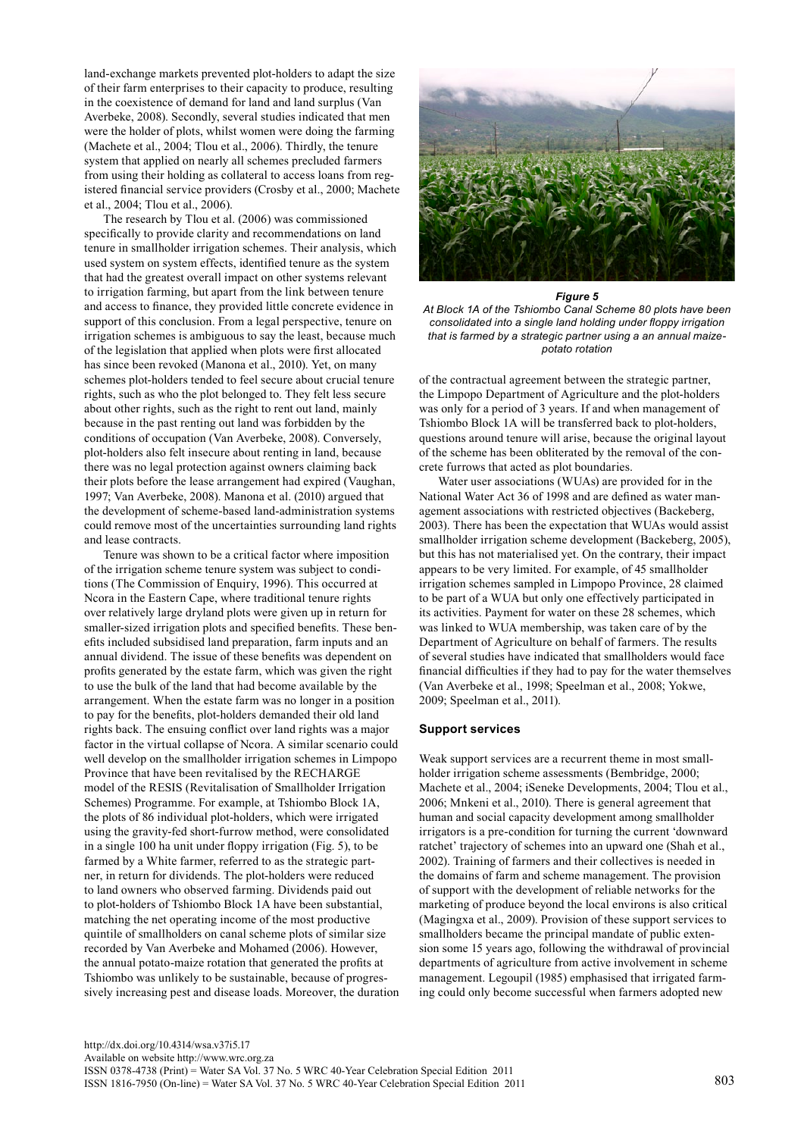land-exchange markets prevented plot-holders to adapt the size of their farm enterprises to their capacity to produce, resulting in the coexistence of demand for land and land surplus (Van Averbeke, 2008). Secondly, several studies indicated that men were the holder of plots, whilst women were doing the farming (Machete et al., 2004; Tlou et al., 2006). Thirdly, the tenure system that applied on nearly all schemes precluded farmers from using their holding as collateral to access loans from registered financial service providers (Crosby et al., 2000; Machete et al., 2004; Tlou et al., 2006).

The research by Tlou et al. (2006) was commissioned specifically to provide clarity and recommendations on land tenure in smallholder irrigation schemes. Their analysis, which used system on system effects, identified tenure as the system that had the greatest overall impact on other systems relevant to irrigation farming, but apart from the link between tenure and access to finance, they provided little concrete evidence in support of this conclusion. From a legal perspective, tenure on irrigation schemes is ambiguous to say the least, because much of the legislation that applied when plots were first allocated has since been revoked (Manona et al., 2010). Yet, on many schemes plot-holders tended to feel secure about crucial tenure rights, such as who the plot belonged to. They felt less secure about other rights, such as the right to rent out land, mainly because in the past renting out land was forbidden by the conditions of occupation (Van Averbeke, 2008). Conversely, plot-holders also felt insecure about renting in land, because there was no legal protection against owners claiming back their plots before the lease arrangement had expired (Vaughan, 1997; Van Averbeke, 2008). Manona et al. (2010) argued that the development of scheme-based land-administration systems could remove most of the uncertainties surrounding land rights and lease contracts.

Tenure was shown to be a critical factor where imposition of the irrigation scheme tenure system was subject to conditions (The Commission of Enquiry, 1996). This occurred at Ncora in the Eastern Cape, where traditional tenure rights over relatively large dryland plots were given up in return for smaller-sized irrigation plots and specified benefits. These benefits included subsidised land preparation, farm inputs and an annual dividend. The issue of these benefits was dependent on profits generated by the estate farm, which was given the right to use the bulk of the land that had become available by the arrangement. When the estate farm was no longer in a position to pay for the benefits, plot-holders demanded their old land rights back. The ensuing conflict over land rights was a major factor in the virtual collapse of Ncora. A similar scenario could well develop on the smallholder irrigation schemes in Limpopo Province that have been revitalised by the RECHARGE model of the RESIS (Revitalisation of Smallholder Irrigation Schemes) Programme. For example, at Tshiombo Block 1A, the plots of 86 individual plot-holders, which were irrigated using the gravity-fed short-furrow method, were consolidated in a single 100 ha unit under floppy irrigation (Fig. 5), to be farmed by a White farmer, referred to as the strategic partner, in return for dividends. The plot-holders were reduced to land owners who observed farming. Dividends paid out to plot-holders of Tshiombo Block 1A have been substantial, matching the net operating income of the most productive quintile of smallholders on canal scheme plots of similar size recorded by Van Averbeke and Mohamed (2006). However, the annual potato-maize rotation that generated the profits at Tshiombo was unlikely to be sustainable, because of progressively increasing pest and disease loads. Moreover, the duration



#### *Figure 5*

*At Block 1A of the Tshiombo Canal Scheme 80 plots have been consolidated into a single land holding under floppy irrigation that is farmed by a strategic partner using a an annual maizepotato rotation* 

of the contractual agreement between the strategic partner, the Limpopo Department of Agriculture and the plot-holders was only for a period of 3 years. If and when management of Tshiombo Block 1A will be transferred back to plot-holders, questions around tenure will arise, because the original layout of the scheme has been obliterated by the removal of the concrete furrows that acted as plot boundaries.

Water user associations (WUAs) are provided for in the National Water Act 36 of 1998 and are defined as water management associations with restricted objectives (Backeberg, 2003). There has been the expectation that WUAs would assist smallholder irrigation scheme development (Backeberg, 2005), but this has not materialised yet. On the contrary, their impact appears to be very limited. For example, of 45 smallholder irrigation schemes sampled in Limpopo Province, 28 claimed to be part of a WUA but only one effectively participated in its activities. Payment for water on these 28 schemes, which was linked to WUA membership, was taken care of by the Department of Agriculture on behalf of farmers. The results of several studies have indicated that smallholders would face financial difficulties if they had to pay for the water themselves (Van Averbeke et al., 1998; Speelman et al., 2008; Yokwe, 2009; Speelman et al., 2011).

#### **Support services**

Weak support services are a recurrent theme in most smallholder irrigation scheme assessments (Bembridge, 2000; Machete et al., 2004; iSeneke Developments, 2004; Tlou et al., 2006; Mnkeni et al., 2010). There is general agreement that human and social capacity development among smallholder irrigators is a pre-condition for turning the current 'downward ratchet' trajectory of schemes into an upward one (Shah et al., 2002). Training of farmers and their collectives is needed in the domains of farm and scheme management. The provision of support with the development of reliable networks for the marketing of produce beyond the local environs is also critical (Magingxa et al., 2009). Provision of these support services to smallholders became the principal mandate of public extension some 15 years ago, following the withdrawal of provincial departments of agriculture from active involvement in scheme management. Legoupil (1985) emphasised that irrigated farming could only become successful when farmers adopted new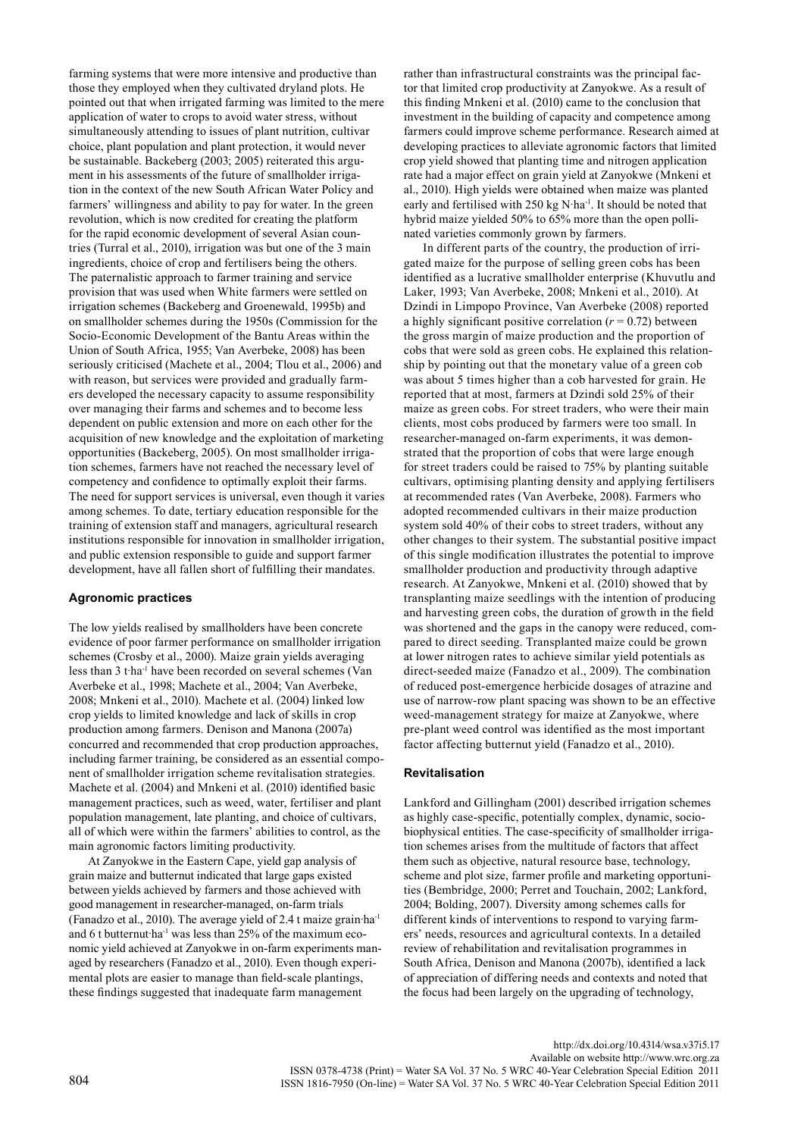farming systems that were more intensive and productive than those they employed when they cultivated dryland plots. He pointed out that when irrigated farming was limited to the mere application of water to crops to avoid water stress, without simultaneously attending to issues of plant nutrition, cultivar choice, plant population and plant protection, it would never be sustainable. Backeberg (2003; 2005) reiterated this argument in his assessments of the future of smallholder irrigation in the context of the new South African Water Policy and farmers' willingness and ability to pay for water. In the green revolution, which is now credited for creating the platform for the rapid economic development of several Asian countries (Turral et al., 2010), irrigation was but one of the 3 main ingredients, choice of crop and fertilisers being the others. The paternalistic approach to farmer training and service provision that was used when White farmers were settled on irrigation schemes (Backeberg and Groenewald, 1995b) and on smallholder schemes during the 1950s (Commission for the Socio-Economic Development of the Bantu Areas within the Union of South Africa, 1955; Van Averbeke, 2008) has been seriously criticised (Machete et al., 2004; Tlou et al., 2006) and with reason, but services were provided and gradually farmers developed the necessary capacity to assume responsibility over managing their farms and schemes and to become less dependent on public extension and more on each other for the acquisition of new knowledge and the exploitation of marketing opportunities (Backeberg, 2005). On most smallholder irrigation schemes, farmers have not reached the necessary level of competency and confidence to optimally exploit their farms. The need for support services is universal, even though it varies among schemes. To date, tertiary education responsible for the training of extension staff and managers, agricultural research institutions responsible for innovation in smallholder irrigation, and public extension responsible to guide and support farmer development, have all fallen short of fulfilling their mandates.

#### **Agronomic practices**

The low yields realised by smallholders have been concrete evidence of poor farmer performance on smallholder irrigation schemes (Crosby et al., 2000). Maize grain yields averaging less than 3 t·ha-1 have been recorded on several schemes (Van Averbeke et al., 1998; Machete et al., 2004; Van Averbeke, 2008; Mnkeni et al., 2010). Machete et al. (2004) linked low crop yields to limited knowledge and lack of skills in crop production among farmers. Denison and Manona (2007a) concurred and recommended that crop production approaches, including farmer training, be considered as an essential component of smallholder irrigation scheme revitalisation strategies. Machete et al. (2004) and Mnkeni et al. (2010) identified basic management practices, such as weed, water, fertiliser and plant population management, late planting, and choice of cultivars, all of which were within the farmers' abilities to control, as the main agronomic factors limiting productivity.

At Zanyokwe in the Eastern Cape, yield gap analysis of grain maize and butternut indicated that large gaps existed between yields achieved by farmers and those achieved with good management in researcher-managed, on-farm trials (Fanadzo et al., 2010). The average yield of 2.4 t maize grain·ha-1 and 6 t butternut ha<sup>-1</sup> was less than 25% of the maximum economic yield achieved at Zanyokwe in on-farm experiments managed by researchers (Fanadzo et al., 2010). Even though experimental plots are easier to manage than field-scale plantings, these findings suggested that inadequate farm management

rather than infrastructural constraints was the principal factor that limited crop productivity at Zanyokwe. As a result of this finding Mnkeni et al. (2010) came to the conclusion that investment in the building of capacity and competence among farmers could improve scheme performance. Research aimed at developing practices to alleviate agronomic factors that limited crop yield showed that planting time and nitrogen application rate had a major effect on grain yield at Zanyokwe (Mnkeni et al., 2010). High yields were obtained when maize was planted early and fertilised with 250 kg N·ha<sup>-1</sup>. It should be noted that hybrid maize yielded 50% to 65% more than the open pollinated varieties commonly grown by farmers.

In different parts of the country, the production of irrigated maize for the purpose of selling green cobs has been identified as a lucrative smallholder enterprise (Khuvutlu and Laker, 1993; Van Averbeke, 2008; Mnkeni et al., 2010). At Dzindi in Limpopo Province, Van Averbeke (2008) reported a highly significant positive correlation  $(r = 0.72)$  between the gross margin of maize production and the proportion of cobs that were sold as green cobs. He explained this relationship by pointing out that the monetary value of a green cob was about 5 times higher than a cob harvested for grain. He reported that at most, farmers at Dzindi sold 25% of their maize as green cobs. For street traders, who were their main clients, most cobs produced by farmers were too small. In researcher-managed on-farm experiments, it was demonstrated that the proportion of cobs that were large enough for street traders could be raised to 75% by planting suitable cultivars, optimising planting density and applying fertilisers at recommended rates (Van Averbeke, 2008). Farmers who adopted recommended cultivars in their maize production system sold 40% of their cobs to street traders, without any other changes to their system. The substantial positive impact of this single modification illustrates the potential to improve smallholder production and productivity through adaptive research. At Zanyokwe, Mnkeni et al. (2010) showed that by transplanting maize seedlings with the intention of producing and harvesting green cobs, the duration of growth in the field was shortened and the gaps in the canopy were reduced, compared to direct seeding. Transplanted maize could be grown at lower nitrogen rates to achieve similar yield potentials as direct-seeded maize (Fanadzo et al., 2009). The combination of reduced post-emergence herbicide dosages of atrazine and use of narrow-row plant spacing was shown to be an effective weed-management strategy for maize at Zanyokwe, where pre-plant weed control was identified as the most important factor affecting butternut yield (Fanadzo et al., 2010).

#### **Revitalisation**

Lankford and Gillingham (2001) described irrigation schemes as highly case-specific, potentially complex, dynamic, sociobiophysical entities. The case-specificity of smallholder irrigation schemes arises from the multitude of factors that affect them such as objective, natural resource base, technology, scheme and plot size, farmer profile and marketing opportunities (Bembridge, 2000; Perret and Touchain, 2002; Lankford, 2004; Bolding, 2007). Diversity among schemes calls for different kinds of interventions to respond to varying farmers' needs, resources and agricultural contexts. In a detailed review of rehabilitation and revitalisation programmes in South Africa, Denison and Manona (2007b), identified a lack of appreciation of differing needs and contexts and noted that the focus had been largely on the upgrading of technology,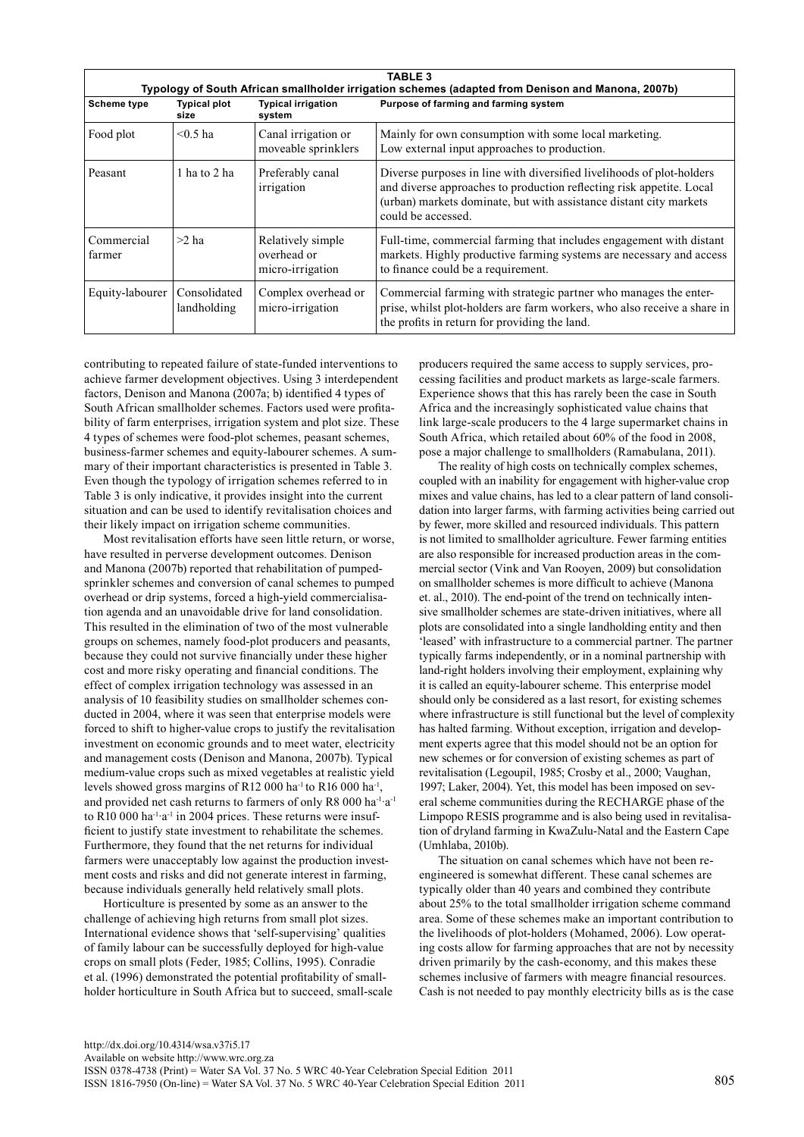| <b>TABLE 3</b><br>Typology of South African smallholder irrigation schemes (adapted from Denison and Manona, 2007b) |                             |                                                      |                                                                                                                                                                                                                                           |  |  |
|---------------------------------------------------------------------------------------------------------------------|-----------------------------|------------------------------------------------------|-------------------------------------------------------------------------------------------------------------------------------------------------------------------------------------------------------------------------------------------|--|--|
| Scheme type                                                                                                         | <b>Typical plot</b><br>size | <b>Typical irrigation</b><br>system                  | Purpose of farming and farming system                                                                                                                                                                                                     |  |  |
| Food plot                                                                                                           | $< 0.5$ ha                  | Canal irrigation or<br>moveable sprinklers           | Mainly for own consumption with some local marketing.<br>Low external input approaches to production.                                                                                                                                     |  |  |
| Peasant                                                                                                             | 1 ha to 2 ha                | Preferably canal<br>irrigation                       | Diverse purposes in line with diversified livelihoods of plot-holders<br>and diverse approaches to production reflecting risk appetite. Local<br>(urban) markets dominate, but with assistance distant city markets<br>could be accessed. |  |  |
| Commercial<br>farmer                                                                                                | $>2$ ha                     | Relatively simple<br>overhead or<br>micro-irrigation | Full-time, commercial farming that includes engagement with distant<br>markets. Highly productive farming systems are necessary and access<br>to finance could be a requirement.                                                          |  |  |
| Equity-labourer                                                                                                     | Consolidated<br>landholding | Complex overhead or<br>micro-irrigation              | Commercial farming with strategic partner who manages the enter-<br>prise, whilst plot-holders are farm workers, who also receive a share in<br>the profits in return for providing the land.                                             |  |  |

contributing to repeated failure of state-funded interventions to achieve farmer development objectives. Using 3 interdependent factors, Denison and Manona (2007a; b) identified 4 types of South African smallholder schemes. Factors used were profitability of farm enterprises, irrigation system and plot size. These 4 types of schemes were food-plot schemes, peasant schemes, business-farmer schemes and equity-labourer schemes. A summary of their important characteristics is presented in Table 3. Even though the typology of irrigation schemes referred to in Table 3 is only indicative, it provides insight into the current situation and can be used to identify revitalisation choices and their likely impact on irrigation scheme communities.

Most revitalisation efforts have seen little return, or worse, have resulted in perverse development outcomes. Denison and Manona (2007b) reported that rehabilitation of pumpedsprinkler schemes and conversion of canal schemes to pumped overhead or drip systems, forced a high-yield commercialisation agenda and an unavoidable drive for land consolidation. This resulted in the elimination of two of the most vulnerable groups on schemes, namely food-plot producers and peasants, because they could not survive financially under these higher cost and more risky operating and financial conditions. The effect of complex irrigation technology was assessed in an analysis of 10 feasibility studies on smallholder schemes conducted in 2004, where it was seen that enterprise models were forced to shift to higher-value crops to justify the revitalisation investment on economic grounds and to meet water, electricity and management costs (Denison and Manona, 2007b). Typical medium-value crops such as mixed vegetables at realistic yield levels showed gross margins of R12 000 ha<sup>-1</sup> to R16 000 ha<sup>-1</sup>, and provided net cash returns to farmers of only R8 000 ha-1·a-1 to R10 000 ha<sup>-1</sup> a<sup>-1</sup> in 2004 prices. These returns were insufficient to justify state investment to rehabilitate the schemes. Furthermore, they found that the net returns for individual farmers were unacceptably low against the production investment costs and risks and did not generate interest in farming, because individuals generally held relatively small plots.

Horticulture is presented by some as an answer to the challenge of achieving high returns from small plot sizes. International evidence shows that 'self-supervising' qualities of family labour can be successfully deployed for high-value crops on small plots (Feder, 1985; Collins, 1995). Conradie et al. (1996) demonstrated the potential profitability of smallholder horticulture in South Africa but to succeed, small-scale producers required the same access to supply services, processing facilities and product markets as large-scale farmers. Experience shows that this has rarely been the case in South Africa and the increasingly sophisticated value chains that link large-scale producers to the 4 large supermarket chains in South Africa, which retailed about 60% of the food in 2008, pose a major challenge to smallholders (Ramabulana, 2011).

The reality of high costs on technically complex schemes, coupled with an inability for engagement with higher-value crop mixes and value chains, has led to a clear pattern of land consolidation into larger farms, with farming activities being carried out by fewer, more skilled and resourced individuals. This pattern is not limited to smallholder agriculture. Fewer farming entities are also responsible for increased production areas in the commercial sector (Vink and Van Rooyen, 2009) but consolidation on smallholder schemes is more difficult to achieve (Manona et. al., 2010). The end-point of the trend on technically intensive smallholder schemes are state-driven initiatives, where all plots are consolidated into a single landholding entity and then 'leased' with infrastructure to a commercial partner. The partner typically farms independently, or in a nominal partnership with land-right holders involving their employment, explaining why it is called an equity-labourer scheme. This enterprise model should only be considered as a last resort, for existing schemes where infrastructure is still functional but the level of complexity has halted farming. Without exception, irrigation and development experts agree that this model should not be an option for new schemes or for conversion of existing schemes as part of revitalisation (Legoupil, 1985; Crosby et al., 2000; Vaughan, 1997; Laker, 2004). Yet, this model has been imposed on several scheme communities during the RECHARGE phase of the Limpopo RESIS programme and is also being used in revitalisation of dryland farming in KwaZulu-Natal and the Eastern Cape (Umhlaba, 2010b).

The situation on canal schemes which have not been reengineered is somewhat different. These canal schemes are typically older than 40 years and combined they contribute about 25% to the total smallholder irrigation scheme command area. Some of these schemes make an important contribution to the livelihoods of plot-holders (Mohamed, 2006). Low operating costs allow for farming approaches that are not by necessity driven primarily by the cash-economy, and this makes these schemes inclusive of farmers with meagre financial resources. Cash is not needed to pay monthly electricity bills as is the case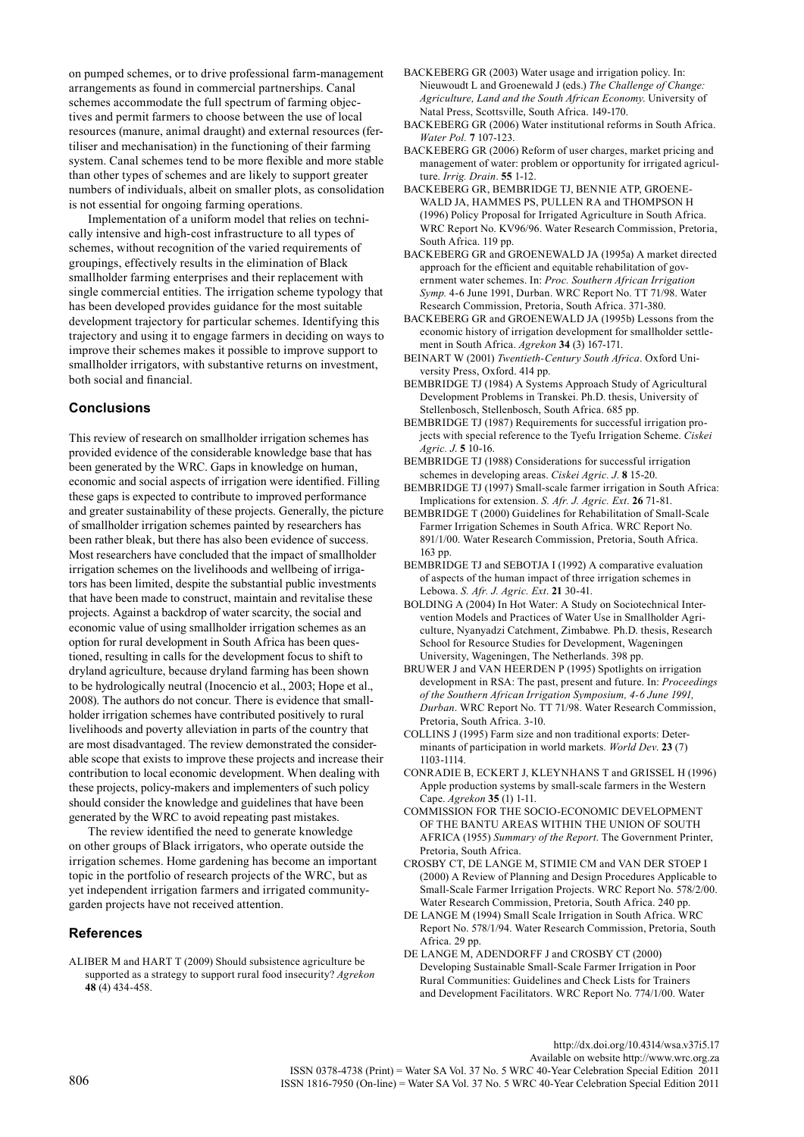on pumped schemes, or to drive professional farm-management arrangements as found in commercial partnerships. Canal schemes accommodate the full spectrum of farming objectives and permit farmers to choose between the use of local resources (manure, animal draught) and external resources (fertiliser and mechanisation) in the functioning of their farming system. Canal schemes tend to be more flexible and more stable than other types of schemes and are likely to support greater numbers of individuals, albeit on smaller plots, as consolidation is not essential for ongoing farming operations.

Implementation of a uniform model that relies on technically intensive and high-cost infrastructure to all types of schemes, without recognition of the varied requirements of groupings, effectively results in the elimination of Black smallholder farming enterprises and their replacement with single commercial entities. The irrigation scheme typology that has been developed provides guidance for the most suitable development trajectory for particular schemes. Identifying this trajectory and using it to engage farmers in deciding on ways to improve their schemes makes it possible to improve support to smallholder irrigators, with substantive returns on investment, both social and financial.

# **Conclusions**

This review of research on smallholder irrigation schemes has provided evidence of the considerable knowledge base that has been generated by the WRC. Gaps in knowledge on human, economic and social aspects of irrigation were identified. Filling these gaps is expected to contribute to improved performance and greater sustainability of these projects. Generally, the picture of smallholder irrigation schemes painted by researchers has been rather bleak, but there has also been evidence of success. Most researchers have concluded that the impact of smallholder irrigation schemes on the livelihoods and wellbeing of irrigators has been limited, despite the substantial public investments that have been made to construct, maintain and revitalise these projects. Against a backdrop of water scarcity, the social and economic value of using smallholder irrigation schemes as an option for rural development in South Africa has been questioned, resulting in calls for the development focus to shift to dryland agriculture, because dryland farming has been shown to be hydrologically neutral (Inocencio et al., 2003; Hope et al., 2008). The authors do not concur. There is evidence that smallholder irrigation schemes have contributed positively to rural livelihoods and poverty alleviation in parts of the country that are most disadvantaged. The review demonstrated the considerable scope that exists to improve these projects and increase their contribution to local economic development. When dealing with these projects, policy-makers and implementers of such policy should consider the knowledge and guidelines that have been generated by the WRC to avoid repeating past mistakes.

The review identified the need to generate knowledge on other groups of Black irrigators, who operate outside the irrigation schemes. Home gardening has become an important topic in the portfolio of research projects of the WRC, but as yet independent irrigation farmers and irrigated communitygarden projects have not received attention.

#### **References**

ALIBER M and HART T (2009) Should subsistence agriculture be supported as a strategy to support rural food insecurity? *Agrekon* **48** (4) 434-458.

- BACKEBERG GR (2003) Water usage and irrigation policy. In: Nieuwoudt L and Groenewald J (eds.) *The Challenge of Change: Agriculture, Land and the South African Economy*. University of Natal Press, Scottsville, South Africa. 149-170.
- BACKEBERG GR (2006) Water institutional reforms in South Africa. *Water Pol.* **7** 107-123.
- BACKEBERG GR (2006) Reform of user charges, market pricing and management of water: problem or opportunity for irrigated agriculture. *Irrig. Drain*. **55** 1-12.
- BACKEBERG GR, BEMBRIDGE TJ, BENNIE ATP, GROENE-WALD JA, HAMMES PS, PULLEN RA and THOMPSON H (1996) Policy Proposal for Irrigated Agriculture in South Africa. WRC Report No. KV96/96. Water Research Commission, Pretoria, South Africa. 119 pp.
- BACKEBERG GR and GROENEWALD JA (1995a) A market directed approach for the efficient and equitable rehabilitation of government water schemes. In: *Proc. Southern African Irrigation Symp.* 4-6 June 1991, Durban. WRC Report No. TT 71/98. Water Research Commission, Pretoria, South Africa. 371-380.
- BACKEBERG GR and GROENEWALD JA (1995b) Lessons from the economic history of irrigation development for smallholder settlement in South Africa. *Agrekon* **34** (3) 167-171.
- BEINART W (2001) *Twentieth-Century South Africa*. Oxford University Press, Oxford. 414 pp.
- BEMBRIDGE TJ (1984) A Systems Approach Study of Agricultural Development Problems in Transkei. Ph.D. thesis, University of Stellenbosch, Stellenbosch, South Africa. 685 pp.
- BEMBRIDGE TJ (1987) Requirements for successful irrigation projects with special reference to the Tyefu Irrigation Scheme. *Ciskei Agric. J*. **5** 10-16.
- BEMBRIDGE TJ (1988) Considerations for successful irrigation schemes in developing areas. *Ciskei Agric. J*. **8** 15-20.
- BEMBRIDGE TJ (1997) Small-scale farmer irrigation in South Africa: Implications for extension. *S. Afr. J. Agric. Ext*. **26** 71-81.
- BEMBRIDGE T (2000) Guidelines for Rehabilitation of Small-Scale Farmer Irrigation Schemes in South Africa. WRC Report No. 891/1/00. Water Research Commission, Pretoria, South Africa. 163 pp.
- BEMBRIDGE TJ and SEBOTJA I (1992) A comparative evaluation of aspects of the human impact of three irrigation schemes in Lebowa. *S. Afr. J. Agric. Ext*. **21** 30-41.
- BOLDING A (2004) In Hot Water: A Study on Sociotechnical Intervention Models and Practices of Water Use in Smallholder Agriculture, Nyanyadzi Catchment, Zimbabwe*.* Ph.D. thesis, Research School for Resource Studies for Development, Wageningen University, Wageningen, The Netherlands. 398 pp.
- BRUWER J and VAN HEERDEN P (1995) Spotlights on irrigation development in RSA: The past, present and future. In: *Proceedings of the Southern African Irrigation Symposium, 4-6 June 1991, Durban*. WRC Report No. TT 71/98. Water Research Commission, Pretoria, South Africa. 3-10.
- COLLINS J (1995) Farm size and non traditional exports: Determinants of participation in world markets*. World Dev*. **23** (7) 1103-1114.
- CONRADIE B, ECKERT J, KLEYNHANS T and GRISSEL H (1996) Apple production systems by small-scale farmers in the Western Cape. *Agrekon* **35** (1) 1-11.
- COMMISSION FOR THE SOCIO-ECONOMIC DEVELOPMENT OF THE BANTU AREAS WITHIN THE UNION OF SOUTH AFRICA (1955) *Summary of the Report*. The Government Printer, Pretoria, South Africa.
- CROSBY CT, DE LANGE M, STIMIE CM and VAN DER STOEP I (2000) A Review of Planning and Design Procedures Applicable to Small-Scale Farmer Irrigation Projects. WRC Report No. 578/2/00. Water Research Commission, Pretoria, South Africa. 240 pp.
- DE LANGE M (1994) Small Scale Irrigation in South Africa. WRC Report No. 578/1/94. Water Research Commission, Pretoria, South Africa. 29 pp.
- DE LANGE M, ADENDORFF J and CROSBY CT (2000) Developing Sustainable Small-Scale Farmer Irrigation in Poor Rural Communities: Guidelines and Check Lists for Trainers and Development Facilitators. WRC Report No. 774/1/00. Water

http://dx.doi.org/10.4314/wsa.v37i5.17 Available on website http://www.wrc.org.za<br>ISSN 0378-4738 (Print) = Water SA Vol. 37 No. 5 WRC 40-Year Celebration Special Edition 2011  $1$ SSN 1816-7950 (On-line) = Water SA Vol. 37 No. 5 WRC 40-Year Celebration Special Edition 2011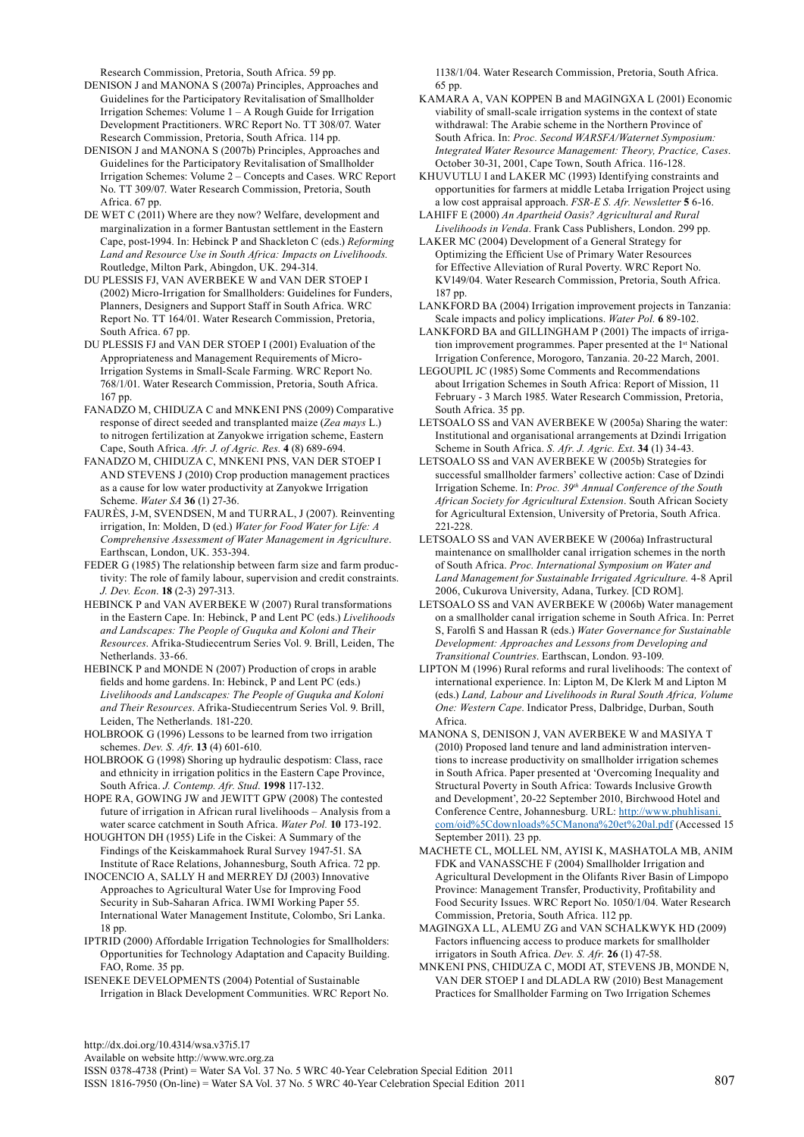Research Commission, Pretoria, South Africa. 59 pp.

- DENISON J and MANONA S (2007a) Principles, Approaches and Guidelines for the Participatory Revitalisation of Smallholder Irrigation Schemes: Volume 1 – A Rough Guide for Irrigation Development Practitioners. WRC Report No. TT 308/07. Water Research Commission, Pretoria, South Africa. 114 pp.
- DENISON J and MANONA S (2007b) Principles, Approaches and Guidelines for the Participatory Revitalisation of Smallholder Irrigation Schemes: Volume 2 – Concepts and Cases. WRC Report No. TT 309/07. Water Research Commission, Pretoria, South Africa. 67 pp.
- DE WET C (2011) Where are they now? Welfare, development and marginalization in a former Bantustan settlement in the Eastern Cape, post-1994. In: Hebinck P and Shackleton C (eds.) *Reforming Land and Resource Use in South Africa: Impacts on Livelihoods.* Routledge, Milton Park, Abingdon, UK. 294-314.
- DU PLESSIS FJ, VAN AVERBEKE W and VAN DER STOEP I (2002) Micro-Irrigation for Smallholders: Guidelines for Funders, Planners, Designers and Support Staff in South Africa. WRC Report No. TT 164/01. Water Research Commission, Pretoria, South Africa. 67 pp.
- DU PLESSIS FJ and VAN DER STOEP I (2001) Evaluation of the Appropriateness and Management Requirements of Micro-Irrigation Systems in Small-Scale Farming. WRC Report No. 768/1/01. Water Research Commission, Pretoria, South Africa. 167 pp.
- FANADZO M, CHIDUZA C and MNKENI PNS (2009) Comparative response of direct seeded and transplanted maize (*Zea mays* L.) to nitrogen fertilization at Zanyokwe irrigation scheme, Eastern Cape, South Africa. *Afr. J. of Agric. Res.* **4** (8) 689-694.
- FANADZO M, CHIDUZA C, MNKENI PNS, VAN DER STOEP I AND STEVENS J (2010) Crop production management practices as a cause for low water productivity at Zanyokwe Irrigation Scheme. *Water SA* **36** (1) 27-36.
- FAURÈS, J-M, SVENDSEN, M and TURRAL, J (2007). Reinventing irrigation, In: Molden, D (ed.) *Water for Food Water for Life: A Comprehensive Assessment of Water Management in Agriculture*. Earthscan, London, UK. 353-394.
- FEDER G (1985) The relationship between farm size and farm productivity: The role of family labour, supervision and credit constraints. *J. Dev. Econ*. **18** (2-3) 297-313.
- HEBINCK P and VAN AVERBEKE W (2007) Rural transformations in the Eastern Cape. In: Hebinck, P and Lent PC (eds.) *Livelihoods and Landscapes: The People of Guquka and Koloni and Their Resources*. Afrika-Studiecentrum Series Vol. 9. Brill, Leiden, The Netherlands. 33-66.
- HEBINCK P and MONDE N (2007) Production of crops in arable fields and home gardens. In: Hebinck, P and Lent PC (eds.) *Livelihoods and Landscapes: The People of Guquka and Koloni and Their Resources*. Afrika-Studiecentrum Series Vol. 9. Brill, Leiden, The Netherlands. 181-220.
- HOLBROOK G (1996) Lessons to be learned from two irrigation schemes. *Dev. S. Afr*. **13** (4) 601-610.
- HOLBROOK G (1998) Shoring up hydraulic despotism: Class, race and ethnicity in irrigation politics in the Eastern Cape Province, South Africa. *J. Contemp. Afr. Stud*. **1998** 117-132.
- HOPE RA, GOWING JW and JEWITT GPW (2008) The contested future of irrigation in African rural livelihoods – Analysis from a water scarce catchment in South Africa. *Water Pol.* **10** 173-192.
- HOUGHTON DH (1955) Life in the Ciskei: A Summary of the Findings of the Keiskammahoek Rural Survey 1947-51. SA Institute of Race Relations, Johannesburg, South Africa. 72 pp.
- INOCENCIO A, SALLY H and MERREY DJ (2003) Innovative Approaches to Agricultural Water Use for Improving Food Security in Sub-Saharan Africa. IWMI Working Paper 55. International Water Management Institute, Colombo, Sri Lanka. 18 pp.
- IPTRID (2000) Affordable Irrigation Technologies for Smallholders: Opportunities for Technology Adaptation and Capacity Building. FAO, Rome. 35 pp.
- ISENEKE DEVELOPMENTS (2004) Potential of Sustainable Irrigation in Black Development Communities. WRC Report No.

1138/1/04. Water Research Commission, Pretoria, South Africa. 65 pp.

- KAMARA A, VAN KOPPEN B and MAGINGXA L (2001) Economic viability of small-scale irrigation systems in the context of state withdrawal: The Arabie scheme in the Northern Province of South Africa. In: *Proc. Second WARSFA/Waternet Symposium: Integrated Water Resource Management: Theory, Practice, Cases*. October 30-31, 2001, Cape Town, South Africa. 116-128.
- KHUVUTLU I and LAKER MC (1993) Identifying constraints and opportunities for farmers at middle Letaba Irrigation Project using a low cost appraisal approach. *FSR-E S. Afr. Newsletter* **5** 6-16.
- LAHIFF E (2000) *An Apartheid Oasis? Agricultural and Rural Livelihoods in Venda*. Frank Cass Publishers, London. 299 pp.
- LAKER MC (2004) Development of a General Strategy for Optimizing the Efficient Use of Primary Water Resources for Effective Alleviation of Rural Poverty. WRC Report No. KV149/04. Water Research Commission, Pretoria, South Africa. 187 pp.
- LANKFORD BA (2004) Irrigation improvement projects in Tanzania: Scale impacts and policy implications. *Water Pol.* **6** 89-102.
- LANKFORD BA and GILLINGHAM P (2001) The impacts of irrigation improvement programmes. Paper presented at the 1<sup>st</sup> National Irrigation Conference, Morogoro, Tanzania. 20-22 March, 2001.
- LEGOUPIL JC (1985) Some Comments and Recommendations about Irrigation Schemes in South Africa: Report of Mission, 11 February - 3 March 1985. Water Research Commission, Pretoria, South Africa. 35 pp.
- LETSOALO SS and VAN AVERBEKE W (2005a) Sharing the water: Institutional and organisational arrangements at Dzindi Irrigation Scheme in South Africa. *S. Afr. J. Agric. Ext*. **34** (1) 34-43.
- LETSOALO SS and VAN AVERBEKE W (2005b) Strategies for successful smallholder farmers' collective action: Case of Dzindi Irrigation Scheme. In: *Proc. 39th Annual Conference of the South African Society for Agricultural Extension*. South African Society for Agricultural Extension, University of Pretoria, South Africa. 221-228.
- LETSOALO SS and VAN AVERBEKE W (2006a) Infrastructural maintenance on smallholder canal irrigation schemes in the north of South Africa. *Proc. International Symposium on Water and Land Management for Sustainable Irrigated Agriculture.* 4-8 April 2006, Cukurova University, Adana, Turkey. [CD ROM].
- LETSOALO SS and VAN AVERBEKE W (2006b) Water management on a smallholder canal irrigation scheme in South Africa. In: Perret S, Farolfi S and Hassan R (eds.) *Water Governance for Sustainable Development: Approaches and Lessons from Developing and Transitional Countries*. Earthscan, London. 93-109.
- LIPTON M (1996) Rural reforms and rural livelihoods: The context of international experience. In: Lipton M, De Klerk M and Lipton M (eds.) *Land, Labour and Livelihoods in Rural South Africa, Volume One: Western Cape*. Indicator Press, Dalbridge, Durban, South Africa.
- MANONA S, DENISON J, VAN AVERBEKE W and MASIYA T (2010) Proposed land tenure and land administration interventions to increase productivity on smallholder irrigation schemes in South Africa. Paper presented at 'Overcoming Inequality and Structural Poverty in South Africa: Towards Inclusive Growth and Development', 20-22 September 2010, Birchwood Hotel and Conference Centre, Johannesburg. URL: [http://www.phuhlisani.](http://www.phuhlisani.com/oid%5Cdownloads%5CManona%20et%20al.pdf) [com/oid%5Cdownloads%5CManona%20et%20al.pdf](http://www.phuhlisani.com/oid%5Cdownloads%5CManona%20et%20al.pdf) (Accessed 15 September 2011). 23 pp.
- MACHETE CL, MOLLEL NM, AYISI K, MASHATOLA MB, ANIM FDK and VANASSCHE F (2004) Smallholder Irrigation and Agricultural Development in the Olifants River Basin of Limpopo Province: Management Transfer, Productivity, Profitability and Food Security Issues. WRC Report No. 1050/1/04. Water Research Commission, Pretoria, South Africa. 112 pp.
- MAGINGXA LL, ALEMU ZG and VAN SCHALKWYK HD (2009) Factors influencing access to produce markets for smallholder irrigators in South Africa. *Dev. S. Afr.* **26** (1) 47-58.
- MNKENI PNS, CHIDUZA C, MODI AT, STEVENS JB, MONDE N, VAN DER STOEP I and DLADLA RW (2010) Best Management Practices for Smallholder Farming on Two Irrigation Schemes

http://dx.doi.org/10.4314/wsa.v37i5.17

Available on website http://www.wrc.org.za

ISSN 0378-4738 (Print) = Water SA Vol. 37 No. 5 WRC 40-Year Celebration Special Edition 2011 ISSN 1816-7950 (On-line) = Water SA Vol. 37 No. 5 WRC 40-Year Celebration Special Edition 2011 807